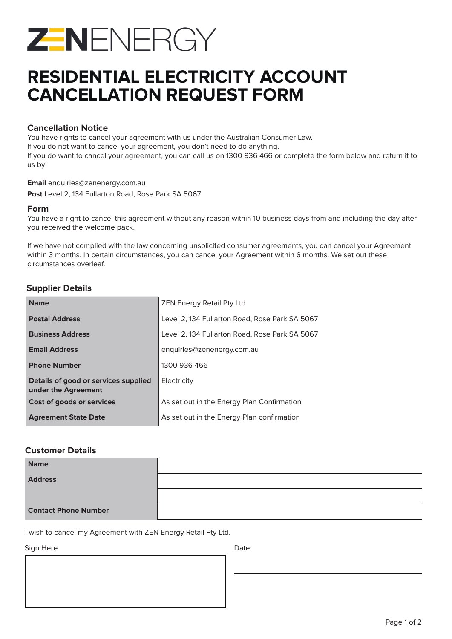

# **RESIDENTIAL ELECTRICITY ACCOUNT CANCELLATION REQUEST FORM**

### **Cancellation Notice**

You have rights to cancel your agreement with us under the Australian Consumer Law.

If you do not want to cancel your agreement, you don't need to do anything.

If you do want to cancel your agreement, you can call us on 1300 936 466 or complete the form below and return it to us by:

**Email** enquiries@zenenergy.com.au

**Post** Level 2, 134 Fullarton Road, Rose Park SA 5067

### **Form**

You have a right to cancel this agreement without any reason within 10 business days from and including the day after you received the welcome pack.

If we have not complied with the law concerning unsolicited consumer agreements, you can cancel your Agreement within 3 months. In certain circumstances, you can cancel your Agreement within 6 months. We set out these circumstances overleaf.

## **Supplier Details**

| <b>Name</b>                                                 | <b>ZEN Energy Retail Pty Ltd</b>               |
|-------------------------------------------------------------|------------------------------------------------|
| <b>Postal Address</b>                                       | Level 2, 134 Fullarton Road, Rose Park SA 5067 |
| <b>Business Address</b>                                     | Level 2, 134 Fullarton Road, Rose Park SA 5067 |
| <b>Email Address</b>                                        | enquiries@zenenergy.com.au                     |
| <b>Phone Number</b>                                         | 1300 936 466                                   |
| Details of good or services supplied<br>under the Agreement | Electricity                                    |
| Cost of goods or services                                   | As set out in the Energy Plan Confirmation     |
| <b>Agreement State Date</b>                                 | As set out in the Energy Plan confirmation     |

### **Customer Details**

| <b>Name</b>                 |  |
|-----------------------------|--|
| <b>Address</b>              |  |
|                             |  |
| <b>Contact Phone Number</b> |  |

I wish to cancel my Agreement with ZEN Energy Retail Pty Ltd.

Sign Here Date: